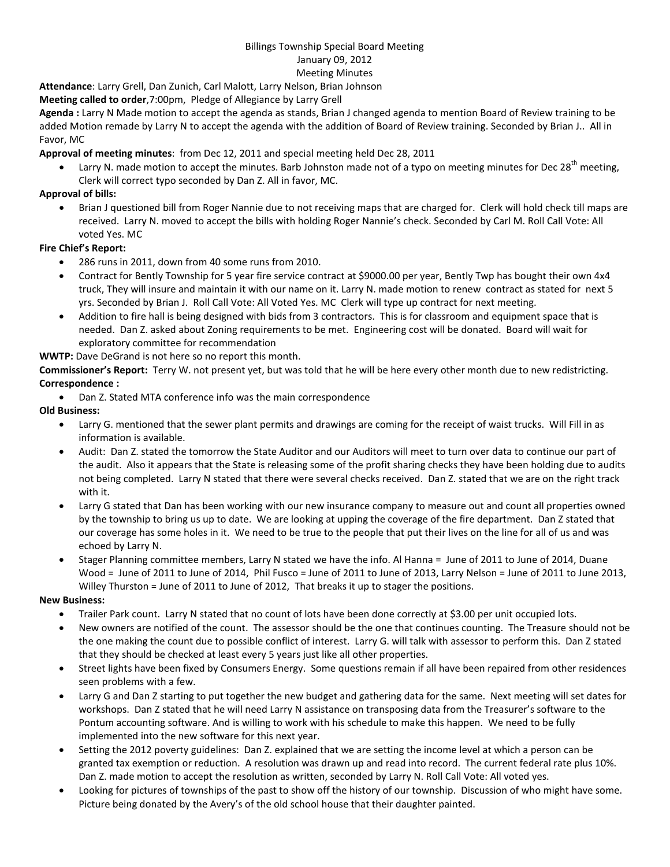#### Billings Township Special Board Meeting January 09, 2012 Meeting Minutes

# **Attendance**: Larry Grell, Dan Zunich, Carl Malott, Larry Nelson, Brian Johnson

**Meeting called to order**,7:00pm, Pledge of Allegiance by Larry Grell

**Agenda :** Larry N Made motion to accept the agenda as stands, Brian J changed agenda to mention Board of Review training to be added Motion remade by Larry N to accept the agenda with the addition of Board of Review training. Seconded by Brian J.. All in Favor, MC

## **Approval of meeting minutes**: from Dec 12, 2011 and special meeting held Dec 28, 2011

Larry N. made motion to accept the minutes. Barb Johnston made not of a typo on meeting minutes for Dec 28<sup>th</sup> meeting, Clerk will correct typo seconded by Dan Z. All in favor, MC.

## **Approval of bills:**

• Brian J questioned bill from Roger Nannie due to not receiving maps that are charged for. Clerk will hold check till maps are received. Larry N. moved to accept the bills with holding Roger Nannie's check. Seconded by Carl M. Roll Call Vote: All voted Yes. MC

## **Fire Chief's Report:**

- 286 runs in 2011, down from 40 some runs from 2010.
- Contract for Bently Township for 5 year fire service contract at \$9000.00 per year, Bently Twp has bought their own 4x4 truck, They will insure and maintain it with our name on it. Larry N. made motion to renew contract as stated for next 5 yrs. Seconded by Brian J. Roll Call Vote: All Voted Yes. MC Clerk will type up contract for next meeting.
- Addition to fire hall is being designed with bids from 3 contractors. This is for classroom and equipment space that is needed. Dan Z. asked about Zoning requirements to be met. Engineering cost will be donated. Board will wait for exploratory committee for recommendation

## **WWTP:** Dave DeGrand is not here so no report this month.

**Commissioner's Report:** Terry W. not present yet, but was told that he will be here every other month due to new redistricting. **Correspondence :** 

• Dan Z. Stated MTA conference info was the main correspondence

## **Old Business:**

- Larry G. mentioned that the sewer plant permits and drawings are coming for the receipt of waist trucks. Will Fill in as information is available.
- Audit: Dan Z. stated the tomorrow the State Auditor and our Auditors will meet to turn over data to continue our part of the audit. Also it appears that the State is releasing some of the profit sharing checks they have been holding due to audits not being completed. Larry N stated that there were several checks received. Dan Z. stated that we are on the right track with it.
- Larry G stated that Dan has been working with our new insurance company to measure out and count all properties owned by the township to bring us up to date. We are looking at upping the coverage of the fire department. Dan Z stated that our coverage has some holes in it. We need to be true to the people that put their lives on the line for all of us and was echoed by Larry N.
- Stager Planning committee members, Larry N stated we have the info. Al Hanna = June of 2011 to June of 2014, Duane Wood = June of 2011 to June of 2014, Phil Fusco = June of 2011 to June of 2013, Larry Nelson = June of 2011 to June 2013, Willey Thurston = June of 2011 to June of 2012, That breaks it up to stager the positions.

#### **New Business:**

- Trailer Park count. Larry N stated that no count of lots have been done correctly at \$3.00 per unit occupied lots.
- New owners are notified of the count. The assessor should be the one that continues counting. The Treasure should not be the one making the count due to possible conflict of interest. Larry G. will talk with assessor to perform this. Dan Z stated that they should be checked at least every 5 years just like all other properties.
- Street lights have been fixed by Consumers Energy. Some questions remain if all have been repaired from other residences seen problems with a few.
- Larry G and Dan Z starting to put together the new budget and gathering data for the same. Next meeting will set dates for workshops. Dan Z stated that he will need Larry N assistance on transposing data from the Treasurer's software to the Pontum accounting software. And is willing to work with his schedule to make this happen. We need to be fully implemented into the new software for this next year.
- Setting the 2012 poverty guidelines: Dan Z. explained that we are setting the income level at which a person can be granted tax exemption or reduction. A resolution was drawn up and read into record. The current federal rate plus 10%. Dan Z. made motion to accept the resolution as written, seconded by Larry N. Roll Call Vote: All voted yes.
- Looking for pictures of townships of the past to show off the history of our township. Discussion of who might have some. Picture being donated by the Avery's of the old school house that their daughter painted.